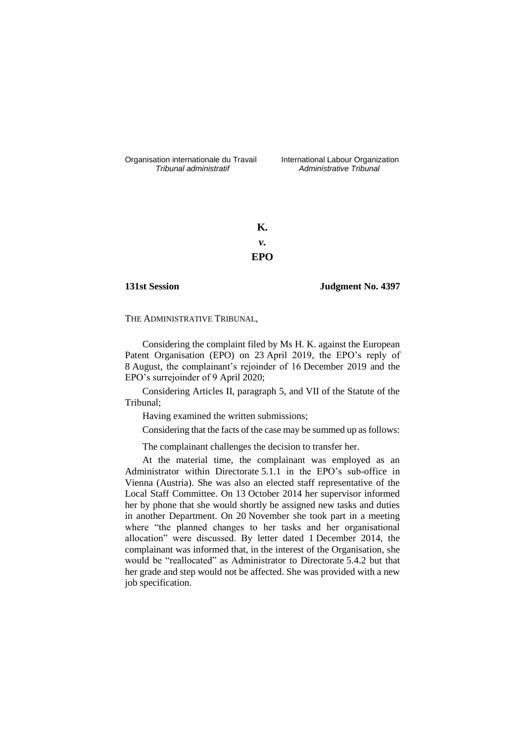Organisation internationale du Travail liternational Labour Organization<br> *Tribunal administratif Administrative Tribunal* 

*Tribunal administratif Administrative Tribunal*

**K.** *v.* **EPO**

**131st Session Judgment No. 4397**

THE ADMINISTRATIVE TRIBUNAL,

Considering the complaint filed by Ms H. K. against the European Patent Organisation (EPO) on 23 April 2019, the EPO's reply of 8 August, the complainant's rejoinder of 16 December 2019 and the EPO's surrejoinder of 9 April 2020;

Considering Articles II, paragraph 5, and VII of the Statute of the Tribunal;

Having examined the written submissions;

Considering that the facts of the case may be summed up as follows:

The complainant challenges the decision to transfer her.

At the material time, the complainant was employed as an Administrator within Directorate 5.1.1 in the EPO's sub-office in Vienna (Austria). She was also an elected staff representative of the Local Staff Committee. On 13 October 2014 her supervisor informed her by phone that she would shortly be assigned new tasks and duties in another Department. On 20 November she took part in a meeting where "the planned changes to her tasks and her organisational allocation" were discussed. By letter dated 1 December 2014, the complainant was informed that, in the interest of the Organisation, she would be "reallocated" as Administrator to Directorate 5.4.2 but that her grade and step would not be affected. She was provided with a new job specification.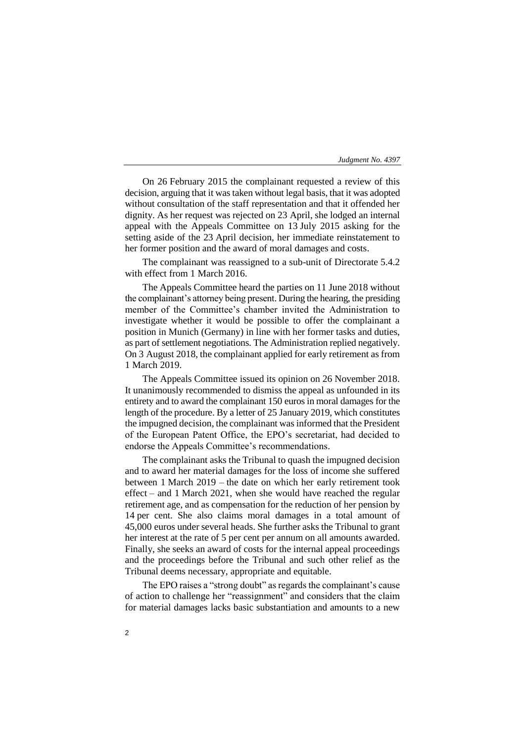On 26 February 2015 the complainant requested a review of this decision, arguing that it was taken without legal basis, that it was adopted without consultation of the staff representation and that it offended her dignity. As her request was rejected on 23 April, she lodged an internal appeal with the Appeals Committee on 13 July 2015 asking for the setting aside of the 23 April decision, her immediate reinstatement to her former position and the award of moral damages and costs.

The complainant was reassigned to a sub-unit of Directorate 5.4.2 with effect from 1 March 2016.

The Appeals Committee heard the parties on 11 June 2018 without the complainant's attorney being present. During the hearing, the presiding member of the Committee's chamber invited the Administration to investigate whether it would be possible to offer the complainant a position in Munich (Germany) in line with her former tasks and duties, as part of settlement negotiations. The Administration replied negatively. On 3 August 2018, the complainant applied for early retirement as from 1 March 2019.

The Appeals Committee issued its opinion on 26 November 2018. It unanimously recommended to dismiss the appeal as unfounded in its entirety and to award the complainant 150 euros in moral damages for the length of the procedure. By a letter of 25 January 2019, which constitutes the impugned decision, the complainant was informed that the President of the European Patent Office, the EPO's secretariat, had decided to endorse the Appeals Committee's recommendations.

The complainant asks the Tribunal to quash the impugned decision and to award her material damages for the loss of income she suffered between 1 March 2019 – the date on which her early retirement took effect – and 1 March 2021, when she would have reached the regular retirement age, and as compensation for the reduction of her pension by 14 per cent. She also claims moral damages in a total amount of 45,000 euros under several heads. She further asks the Tribunal to grant her interest at the rate of 5 per cent per annum on all amounts awarded. Finally, she seeks an award of costs for the internal appeal proceedings and the proceedings before the Tribunal and such other relief as the Tribunal deems necessary, appropriate and equitable.

The EPO raises a "strong doubt" as regards the complainant's cause of action to challenge her "reassignment" and considers that the claim for material damages lacks basic substantiation and amounts to a new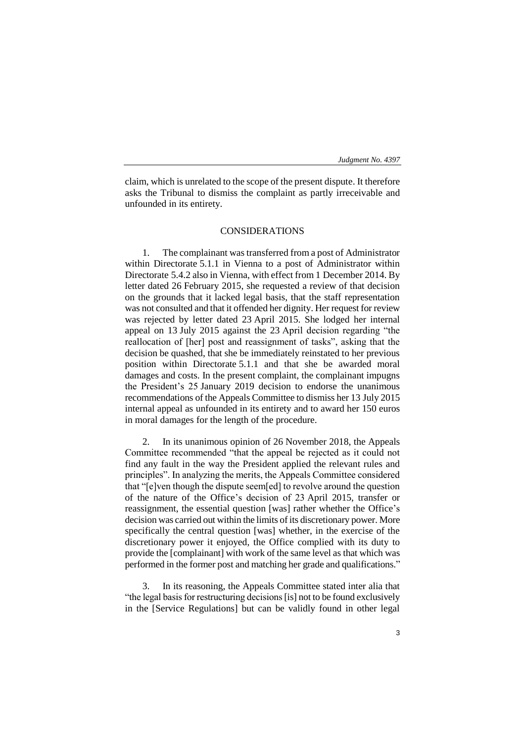claim, which is unrelated to the scope of the present dispute. It therefore asks the Tribunal to dismiss the complaint as partly irreceivable and unfounded in its entirety.

# CONSIDERATIONS

1. The complainant was transferred from a post of Administrator within Directorate 5.1.1 in Vienna to a post of Administrator within Directorate 5.4.2 also in Vienna, with effect from 1 December 2014. By letter dated 26 February 2015, she requested a review of that decision on the grounds that it lacked legal basis, that the staff representation was not consulted and that it offended her dignity. Her request for review was rejected by letter dated 23 April 2015. She lodged her internal appeal on 13 July 2015 against the 23 April decision regarding "the reallocation of [her] post and reassignment of tasks", asking that the decision be quashed, that she be immediately reinstated to her previous position within Directorate 5.1.1 and that she be awarded moral damages and costs. In the present complaint, the complainant impugns the President's 25 January 2019 decision to endorse the unanimous recommendations of the Appeals Committee to dismiss her 13 July 2015 internal appeal as unfounded in its entirety and to award her 150 euros in moral damages for the length of the procedure.

2. In its unanimous opinion of 26 November 2018, the Appeals Committee recommended "that the appeal be rejected as it could not find any fault in the way the President applied the relevant rules and principles". In analyzing the merits, the Appeals Committee considered that "[e]ven though the dispute seem[ed] to revolve around the question of the nature of the Office's decision of 23 April 2015, transfer or reassignment, the essential question [was] rather whether the Office's decision was carried out within the limits of its discretionary power. More specifically the central question [was] whether, in the exercise of the discretionary power it enjoyed, the Office complied with its duty to provide the [complainant] with work of the same level as that which was performed in the former post and matching her grade and qualifications."

3. In its reasoning, the Appeals Committee stated inter alia that "the legal basis for restructuring decisions [is] not to be found exclusively in the [Service Regulations] but can be validly found in other legal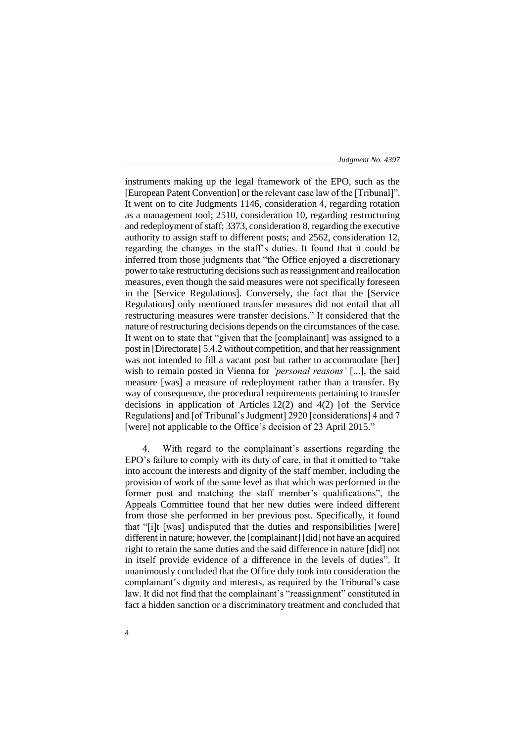instruments making up the legal framework of the EPO, such as the [European Patent Convention] or the relevant case law of the [Tribunal]". It went on to cite Judgments 1146, consideration 4, regarding rotation as a management tool; 2510, consideration 10, regarding restructuring and redeployment of staff; 3373, consideration 8, regarding the executive authority to assign staff to different posts; and 2562, consideration 12, regarding the changes in the staff's duties. It found that it could be inferred from those judgments that "the Office enjoyed a discretionary power to take restructuring decisions such as reassignment and reallocation measures, even though the said measures were not specifically foreseen in the [Service Regulations]. Conversely, the fact that the [Service Regulations] only mentioned transfer measures did not entail that all restructuring measures were transfer decisions." It considered that the nature of restructuring decisions depends on the circumstances of the case. It went on to state that "given that the [complainant] was assigned to a post in [Directorate] 5.4.2 without competition, and that her reassignment was not intended to fill a vacant post but rather to accommodate [her] wish to remain posted in Vienna for *'personal reasons'* [...], the said measure [was] a measure of redeployment rather than a transfer. By way of consequence, the procedural requirements pertaining to transfer decisions in application of Articles 12(2) and 4(2) [of the Service Regulations] and [of Tribunal's Judgment] 2920 [considerations] 4 and 7 [were] not applicable to the Office's decision of 23 April 2015."

4. With regard to the complainant's assertions regarding the EPO's failure to comply with its duty of care, in that it omitted to "take into account the interests and dignity of the staff member, including the provision of work of the same level as that which was performed in the former post and matching the staff member's qualifications", the Appeals Committee found that her new duties were indeed different from those she performed in her previous post. Specifically, it found that "[i]t [was] undisputed that the duties and responsibilities [were] different in nature; however, the [complainant] [did] not have an acquired right to retain the same duties and the said difference in nature [did] not in itself provide evidence of a difference in the levels of duties". It unanimously concluded that the Office duly took into consideration the complainant's dignity and interests, as required by the Tribunal's case law. It did not find that the complainant's "reassignment" constituted in fact a hidden sanction or a discriminatory treatment and concluded that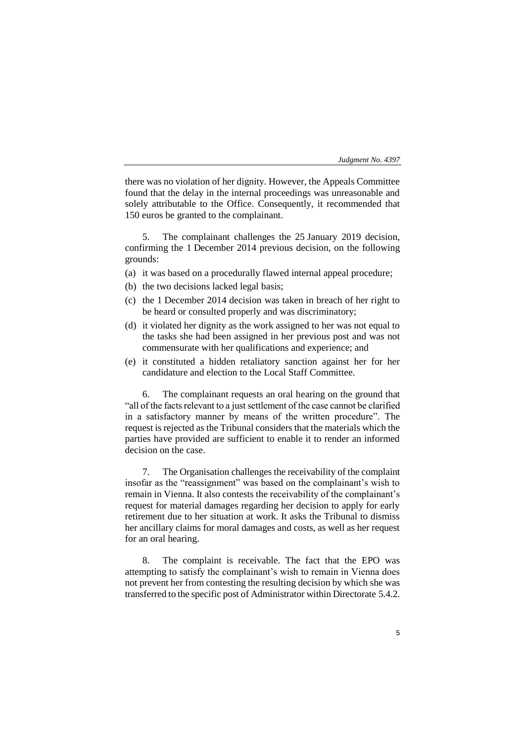there was no violation of her dignity. However, the Appeals Committee found that the delay in the internal proceedings was unreasonable and solely attributable to the Office. Consequently, it recommended that 150 euros be granted to the complainant.

5. The complainant challenges the 25 January 2019 decision, confirming the 1 December 2014 previous decision, on the following grounds:

- (a) it was based on a procedurally flawed internal appeal procedure;
- (b) the two decisions lacked legal basis;
- (c) the 1 December 2014 decision was taken in breach of her right to be heard or consulted properly and was discriminatory;
- (d) it violated her dignity as the work assigned to her was not equal to the tasks she had been assigned in her previous post and was not commensurate with her qualifications and experience; and
- (e) it constituted a hidden retaliatory sanction against her for her candidature and election to the Local Staff Committee.

6. The complainant requests an oral hearing on the ground that "all of the facts relevant to a just settlement of the case cannot be clarified in a satisfactory manner by means of the written procedure". The request is rejected as the Tribunal considers that the materials which the parties have provided are sufficient to enable it to render an informed decision on the case.

7. The Organisation challenges the receivability of the complaint insofar as the "reassignment" was based on the complainant's wish to remain in Vienna. It also contests the receivability of the complainant's request for material damages regarding her decision to apply for early retirement due to her situation at work. It asks the Tribunal to dismiss her ancillary claims for moral damages and costs, as well as her request for an oral hearing.

8. The complaint is receivable. The fact that the EPO was attempting to satisfy the complainant's wish to remain in Vienna does not prevent her from contesting the resulting decision by which she was transferred to the specific post of Administrator within Directorate 5.4.2.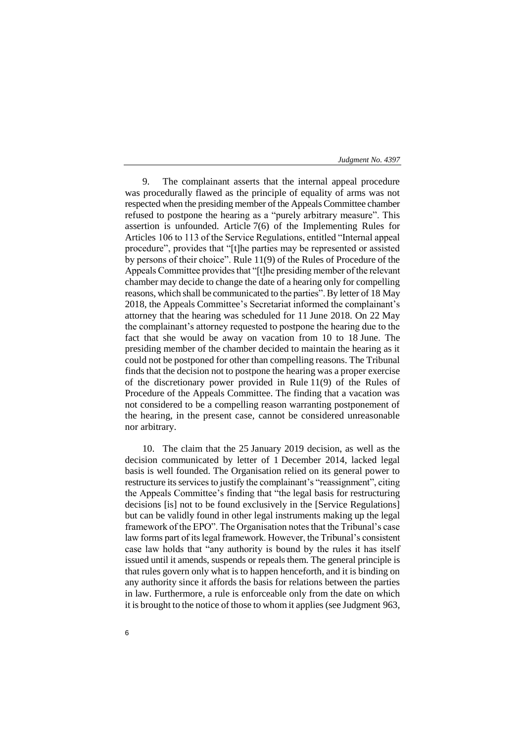9. The complainant asserts that the internal appeal procedure was procedurally flawed as the principle of equality of arms was not respected when the presiding member of the Appeals Committee chamber refused to postpone the hearing as a "purely arbitrary measure". This assertion is unfounded. Article 7(6) of the Implementing Rules for Articles 106 to 113 of the Service Regulations, entitled "Internal appeal procedure", provides that "[t]he parties may be represented or assisted by persons of their choice". Rule 11(9) of the Rules of Procedure of the Appeals Committee provides that "[t]he presiding member of the relevant chamber may decide to change the date of a hearing only for compelling reasons, which shall be communicated to the parties". By letter of 18 May 2018, the Appeals Committee's Secretariat informed the complainant's attorney that the hearing was scheduled for 11 June 2018. On 22 May the complainant's attorney requested to postpone the hearing due to the fact that she would be away on vacation from 10 to 18 June. The presiding member of the chamber decided to maintain the hearing as it could not be postponed for other than compelling reasons. The Tribunal finds that the decision not to postpone the hearing was a proper exercise of the discretionary power provided in Rule 11(9) of the Rules of Procedure of the Appeals Committee. The finding that a vacation was not considered to be a compelling reason warranting postponement of the hearing, in the present case, cannot be considered unreasonable nor arbitrary.

10. The claim that the 25 January 2019 decision, as well as the decision communicated by letter of 1 December 2014, lacked legal basis is well founded. The Organisation relied on its general power to restructure its services to justify the complainant's "reassignment", citing the Appeals Committee's finding that "the legal basis for restructuring decisions [is] not to be found exclusively in the [Service Regulations] but can be validly found in other legal instruments making up the legal framework of the EPO". The Organisation notes that the Tribunal's case law forms part of its legal framework. However, the Tribunal's consistent case law holds that "any authority is bound by the rules it has itself issued until it amends, suspends or repeals them. The general principle is that rules govern only what is to happen henceforth, and it is binding on any authority since it affords the basis for relations between the parties in law. Furthermore, a rule is enforceable only from the date on which it is brought to the notice of those to whom it applies (see Judgment 963,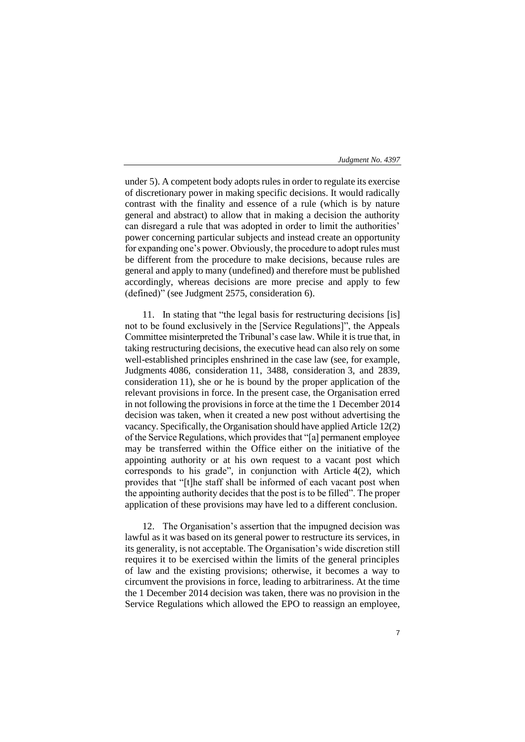under 5). A competent body adopts rules in order to regulate its exercise of discretionary power in making specific decisions. It would radically contrast with the finality and essence of a rule (which is by nature general and abstract) to allow that in making a decision the authority can disregard a rule that was adopted in order to limit the authorities' power concerning particular subjects and instead create an opportunity for expanding one's power. Obviously, the procedure to adopt rules must be different from the procedure to make decisions, because rules are general and apply to many (undefined) and therefore must be published accordingly, whereas decisions are more precise and apply to few (defined)" (see Judgment 2575, consideration 6).

11. In stating that "the legal basis for restructuring decisions [is] not to be found exclusively in the [Service Regulations]", the Appeals Committee misinterpreted the Tribunal's case law. While it is true that, in taking restructuring decisions, the executive head can also rely on some well-established principles enshrined in the case law (see, for example, Judgments 4086, consideration 11, 3488, consideration 3, and 2839, consideration 11), she or he is bound by the proper application of the relevant provisions in force. In the present case, the Organisation erred in not following the provisions in force at the time the 1 December 2014 decision was taken, when it created a new post without advertising the vacancy. Specifically, the Organisation should have applied Article 12(2) of the Service Regulations, which provides that "[a] permanent employee may be transferred within the Office either on the initiative of the appointing authority or at his own request to a vacant post which corresponds to his grade", in conjunction with Article 4(2), which provides that "[t]he staff shall be informed of each vacant post when the appointing authority decides that the post is to be filled". The proper application of these provisions may have led to a different conclusion.

12. The Organisation's assertion that the impugned decision was lawful as it was based on its general power to restructure its services, in its generality, is not acceptable. The Organisation's wide discretion still requires it to be exercised within the limits of the general principles of law and the existing provisions; otherwise, it becomes a way to circumvent the provisions in force, leading to arbitrariness. At the time the 1 December 2014 decision was taken, there was no provision in the Service Regulations which allowed the EPO to reassign an employee,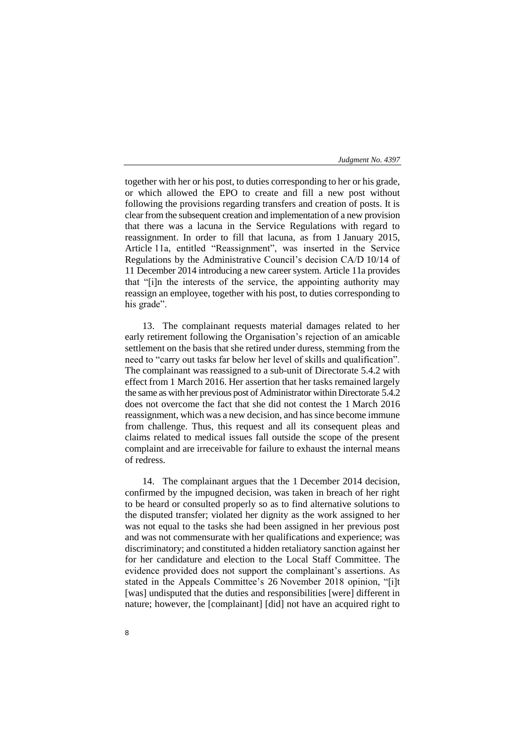together with her or his post, to duties corresponding to her or his grade, or which allowed the EPO to create and fill a new post without following the provisions regarding transfers and creation of posts. It is clear from the subsequent creation and implementation of a new provision that there was a lacuna in the Service Regulations with regard to reassignment. In order to fill that lacuna, as from 1 January 2015, Article 11a, entitled "Reassignment", was inserted in the Service Regulations by the Administrative Council's decision CA/D 10/14 of 11 December 2014 introducing a new career system. Article 11a provides that "[i]n the interests of the service, the appointing authority may reassign an employee, together with his post, to duties corresponding to his grade".

13. The complainant requests material damages related to her early retirement following the Organisation's rejection of an amicable settlement on the basis that she retired under duress, stemming from the need to "carry out tasks far below her level of skills and qualification". The complainant was reassigned to a sub-unit of Directorate 5.4.2 with effect from 1 March 2016. Her assertion that her tasks remained largely the same as with her previous post of Administrator within Directorate 5.4.2 does not overcome the fact that she did not contest the 1 March 2016 reassignment, which was a new decision, and has since become immune from challenge. Thus, this request and all its consequent pleas and claims related to medical issues fall outside the scope of the present complaint and are irreceivable for failure to exhaust the internal means of redress.

14. The complainant argues that the 1 December 2014 decision, confirmed by the impugned decision, was taken in breach of her right to be heard or consulted properly so as to find alternative solutions to the disputed transfer; violated her dignity as the work assigned to her was not equal to the tasks she had been assigned in her previous post and was not commensurate with her qualifications and experience; was discriminatory; and constituted a hidden retaliatory sanction against her for her candidature and election to the Local Staff Committee. The evidence provided does not support the complainant's assertions. As stated in the Appeals Committee's 26 November 2018 opinion, "[i]t [was] undisputed that the duties and responsibilities [were] different in nature; however, the [complainant] [did] not have an acquired right to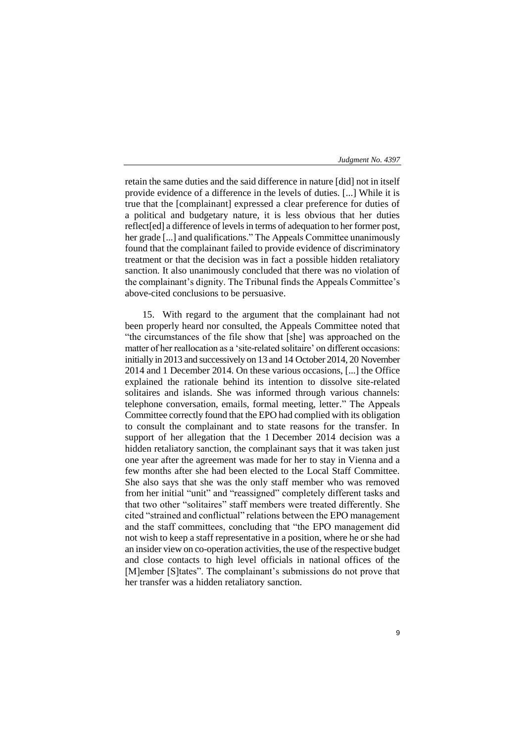retain the same duties and the said difference in nature [did] not in itself provide evidence of a difference in the levels of duties. [...] While it is true that the [complainant] expressed a clear preference for duties of a political and budgetary nature, it is less obvious that her duties reflect[ed] a difference of levels in terms of adequation to her former post, her grade [...] and qualifications." The Appeals Committee unanimously found that the complainant failed to provide evidence of discriminatory treatment or that the decision was in fact a possible hidden retaliatory sanction. It also unanimously concluded that there was no violation of the complainant's dignity. The Tribunal finds the Appeals Committee's above-cited conclusions to be persuasive.

15. With regard to the argument that the complainant had not been properly heard nor consulted, the Appeals Committee noted that "the circumstances of the file show that [she] was approached on the matter of her reallocation as a 'site-related solitaire' on different occasions: initially in 2013 and successively on 13 and 14 October 2014, 20 November 2014 and 1 December 2014. On these various occasions, [...] the Office explained the rationale behind its intention to dissolve site-related solitaires and islands. She was informed through various channels: telephone conversation, emails, formal meeting, letter." The Appeals Committee correctly found that the EPO had complied with its obligation to consult the complainant and to state reasons for the transfer. In support of her allegation that the 1 December 2014 decision was a hidden retaliatory sanction, the complainant says that it was taken just one year after the agreement was made for her to stay in Vienna and a few months after she had been elected to the Local Staff Committee. She also says that she was the only staff member who was removed from her initial "unit" and "reassigned" completely different tasks and that two other "solitaires" staff members were treated differently. She cited "strained and conflictual" relations between the EPO management and the staff committees, concluding that "the EPO management did not wish to keep a staff representative in a position, where he or she had an insider view on co-operation activities, the use of the respective budget and close contacts to high level officials in national offices of the [M]ember [S]tates". The complainant's submissions do not prove that her transfer was a hidden retaliatory sanction.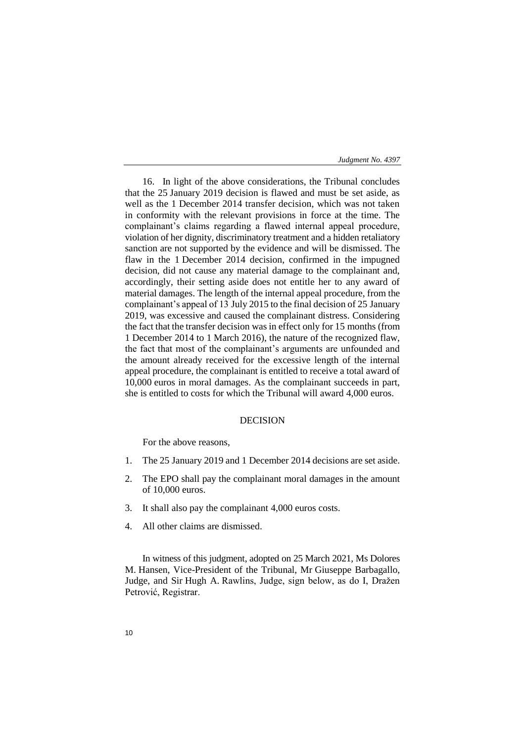16. In light of the above considerations, the Tribunal concludes that the 25 January 2019 decision is flawed and must be set aside, as well as the 1 December 2014 transfer decision, which was not taken in conformity with the relevant provisions in force at the time. The complainant's claims regarding a flawed internal appeal procedure, violation of her dignity, discriminatory treatment and a hidden retaliatory sanction are not supported by the evidence and will be dismissed. The flaw in the 1 December 2014 decision, confirmed in the impugned decision, did not cause any material damage to the complainant and, accordingly, their setting aside does not entitle her to any award of material damages. The length of the internal appeal procedure, from the complainant's appeal of 13 July 2015 to the final decision of 25 January 2019, was excessive and caused the complainant distress. Considering the fact that the transfer decision was in effect only for 15 months (from 1 December 2014 to 1 March 2016), the nature of the recognized flaw, the fact that most of the complainant's arguments are unfounded and the amount already received for the excessive length of the internal appeal procedure, the complainant is entitled to receive a total award of 10,000 euros in moral damages. As the complainant succeeds in part, she is entitled to costs for which the Tribunal will award 4,000 euros.

# DECISION

For the above reasons,

- 1. The 25 January 2019 and 1 December 2014 decisions are set aside.
- 2. The EPO shall pay the complainant moral damages in the amount of 10,000 euros.
- 3. It shall also pay the complainant 4,000 euros costs.
- 4. All other claims are dismissed.

In witness of this judgment, adopted on 25 March 2021, Ms Dolores M. Hansen, Vice-President of the Tribunal, Mr Giuseppe Barbagallo, Judge, and Sir Hugh A. Rawlins, Judge, sign below, as do I, Dražen Petrović, Registrar.